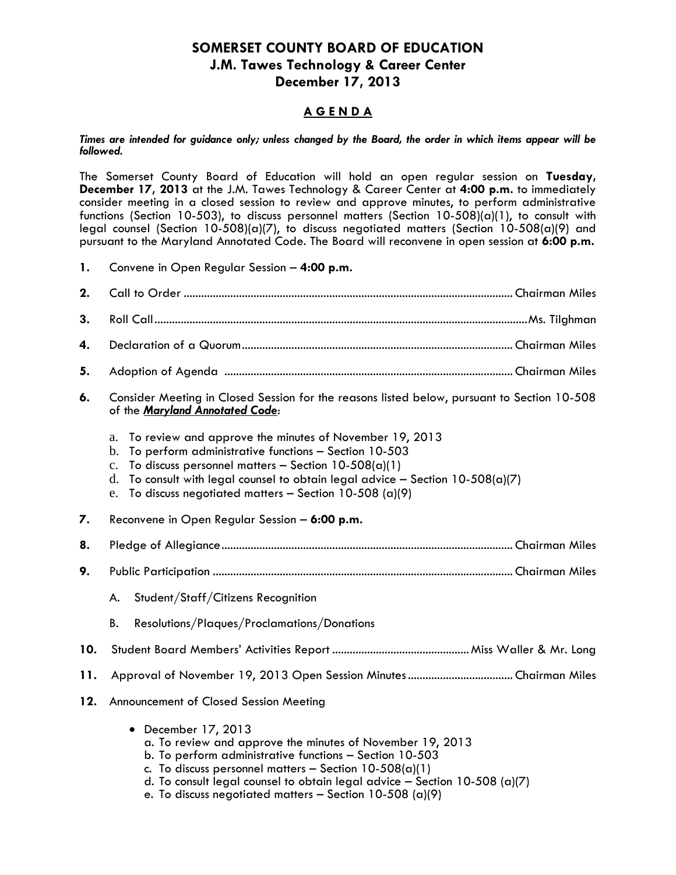## **SOMERSET COUNTY BOARD OF EDUCATION J.M. Tawes Technology & Career Center December 17, 2013**

## **A G E N D A**

*Times are intended for guidance only; unless changed by the Board, the order in which items appear will be followed.*

The Somerset County Board of Education will hold an open regular session on **Tuesday, December 17, 2013** at the J.M. Tawes Technology & Career Center at **4:00 p.m.** to immediately consider meeting in a closed session to review and approve minutes, to perform administrative functions (Section 10-503), to discuss personnel matters (Section 10-508)(a)(1), to consult with legal counsel (Section 10-508)(a)(7), to discuss negotiated matters (Section 10-508(a)(9) and pursuant to the Maryland Annotated Code. The Board will reconvene in open session at **6:00 p.m.**

**1.** Convene in Open Regular Session – **4:00 p.m.**

| 2.  |                                                                                                                                                                                                                                                                                                                                                             |  |  |
|-----|-------------------------------------------------------------------------------------------------------------------------------------------------------------------------------------------------------------------------------------------------------------------------------------------------------------------------------------------------------------|--|--|
| 3.  |                                                                                                                                                                                                                                                                                                                                                             |  |  |
| 4.  |                                                                                                                                                                                                                                                                                                                                                             |  |  |
| 5.  |                                                                                                                                                                                                                                                                                                                                                             |  |  |
| 6.  | Consider Meeting in Closed Session for the reasons listed below, pursuant to Section 10-508<br>of the Maryland Annotated Code:                                                                                                                                                                                                                              |  |  |
|     | To review and approve the minutes of November 19, 2013<br>a.<br>To perform administrative functions - Section 10-503<br>b.<br>To discuss personnel matters - Section $10-508(a)(1)$<br>$\mathbf{c}$ .<br>To consult with legal counsel to obtain legal advice - Section $10-508(a)(7)$<br>d.<br>To discuss negotiated matters - Section 10-508 (a)(9)<br>e. |  |  |
| 7.  | Reconvene in Open Regular Session - 6:00 p.m.                                                                                                                                                                                                                                                                                                               |  |  |
| 8.  |                                                                                                                                                                                                                                                                                                                                                             |  |  |
| 9.  |                                                                                                                                                                                                                                                                                                                                                             |  |  |
|     | Student/Staff/Citizens Recognition<br>A.                                                                                                                                                                                                                                                                                                                    |  |  |
|     | Resolutions/Plaques/Proclamations/Donations<br>В.                                                                                                                                                                                                                                                                                                           |  |  |
| 10. |                                                                                                                                                                                                                                                                                                                                                             |  |  |
| 11. |                                                                                                                                                                                                                                                                                                                                                             |  |  |
| 12. | Announcement of Closed Session Meeting                                                                                                                                                                                                                                                                                                                      |  |  |
|     | December 17, 2013<br>a. To review and approve the minutes of November 19, 2013<br>b. To perform administrative functions - Section 10-503<br>c. To discuss personnel matters - Section $10-508(a)(1)$<br>d. To consult legal counsel to obtain legal advice $-$ Section 10-508 (a)(7)                                                                       |  |  |

e. To discuss negotiated matters  $-$  Section 10-508 (a)(9)